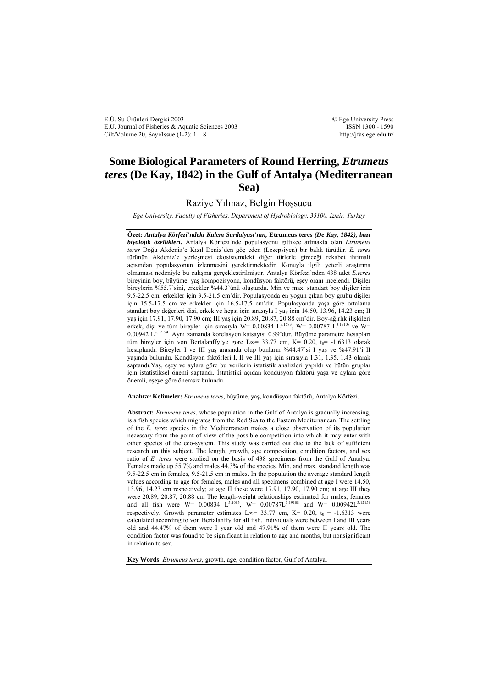E.Ü. Su Ürünleri Dergisi 2003 E.U. Journal of Fisheries & Aquatic Sciences 2003 Cilt/Volume 20, Sayı/Issue  $(1-2)$ :  $1-8$ 

© Ege University Press ISSN 1300 - 1590 http://jfas.ege.edu.tr/

# **Some Biological Parameters of Round Herring,** *Etrumeus teres* **(De Kay, 1842) in the Gulf of Antalya (Mediterranean Sea)**

Raziye Yılmaz, Belgin Hoşsucu

*Ege University, Faculty of Fisheries, Department of Hydrobiology, 35100, Izmir, Turkey* 

**Özet:** *Antalya Körfezi'ndeki Kalem Sardalyası'nın,* **Etrumeus teres** *(De Kay, 1842), bazı biyolojik özellikleri.* Antalya Körfezi'nde populasyonu gittikçe artmakta olan *Etrumeus teres* Doğu Akdeniz'e Kızıl Deniz'den göç eden (Lesepsiyen) bir balık türüdür. *E. teres* türünün Akdeniz'e yerleşmesi ekosistemdeki diğer türlerle gireceği rekabet ihtimali açısından populasyonun izlenmesini gerektirmektedir. Konuyla ilgili yeterli araştırma olmaması nedeniyle bu çalışma gerçekleştirilmiştir. Antalya Körfezi'nden 438 adet *E.teres* bireyinin boy, büyüme, yaş kompozisyonu, kondüsyon faktörü, eşey oranı incelendi. Dişiler bireylerin %55.7'sini, erkekler %44.3'ünü oluşturdu. Min ve max. standart boy dişiler için 9.5-22.5 cm, erkekler için 9.5-21.5 cm'dir. Populasyonda en yoğun çıkan boy grubu dişiler için 15.5-17.5 cm ve erkekler için 16.5-17.5 cm'dir. Populasyonda yaşa göre ortalama standart boy değerleri dişi, erkek ve hepsi için sırasıyla I yaş için 14.50, 13.96, 14.23 cm; II yaş için 17.91, 17.90, 17.90 cm; III yaş için 20.89, 20.87, 20.88 cm'dir. Boy-ağırlık ilişkileri erkek, dişi ve tüm bireyler için sırasıyla W= 0.00834 L<sup>3.1683</sup>, W= 0.00787 L<sup>3.19108</sup> ve W= 0.00942 L<sup>3.12159</sup> .Aynı zamanda korelasyon katsayısı 0.99'dur. Büyüme parametre hesapları tüm bireyler için von Bertalanffy'ye göre L∞= 33.77 cm, K= 0.20, t<sub>0</sub>= -1.6313 olarak hesaplandı. Bireyler I ve III yaş arasında olup bunların %44.47'si I yaş ve %47.91'i II yaşında bulundu. Kondüsyon faktörleri I, II ve III yaş için sırasıyla 1.31, 1.35, 1.43 olarak saptandı.Yaş, eşey ve aylara göre bu verilerin istatistik analizleri yapıldı ve bütün gruplar için istatistiksel önemi saptandı. İstatistiki açıdan kondüsyon faktörü yaşa ve aylara göre önemli, eşeye göre önemsiz bulundu.

**Anahtar Kelimeler:** *Etrumeus teres*, büyüme, yaş, kondüsyon faktörü, Antalya Körfezi.

**Abstract:** *Etrumeus teres*, whose population in the Gulf of Antalya is gradually increasing, is a fish species which migrates from the Red Sea to the Eastern Mediterranean. The settling of the *E. teres* species in the Mediterranean makes a close observation of its population necessary from the point of view of the possible competition into which it may enter with other species of the eco-system. This study was carried out due to the lack of sufficient research on this subject. The length, growth, age composition, condition factors, and sex ratio of *E. teres* were studied on the basis of 438 specimens from the Gulf of Antalya. Females made up 55.7% and males 44.3% of the species. Min. and max. standard length was 9.5-22.5 cm in females, 9.5-21.5 cm in males. In the population the average standard length values according to age for females, males and all specimens combined at age I were 14.50, 13.96, 14.23 cm respectively; at age II these were 17.91, 17.90, 17.90 cm; at age III they were 20.89, 20.87, 20.88 cm The length-weight relationships estimated for males, females and all fish were W=  $0.00834$  L<sup>3.1683</sup>, W=  $0.00787L^{3.19108}$  and W=  $0.00942L^{3.12159}$ respectively. Growth parameter estimates L∞= 33.77 cm, K= 0.20,  $t_0$  = -1.6313 were calculated according to von Bertalanffy for all fish. Individuals were between I and III years old and 44.47% of them were I year old and 47.91% of them were II years old. The condition factor was found to be significant in relation to age and months, but nonsignificant in relation to sex.

**Key Words**: *Etrumeus teres*, growth, age, condition factor, Gulf of Antalya.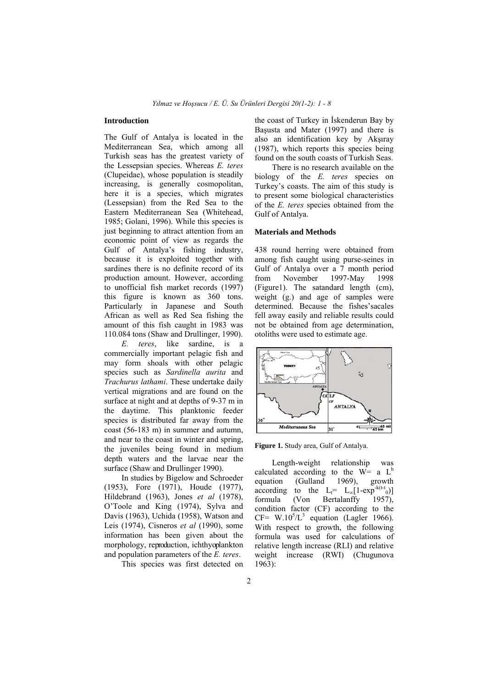### **Introduction**

The Gulf of Antalya is located in the Mediterranean Sea, which among all Turkish seas has the greatest variety of the Lessepsian species. Whereas *E. teres*  (Clupeidae), whose population is steadily increasing, is generally cosmopolitan, here it is a species, which migrates (Lessepsian) from the Red Sea to the Eastern Mediterranean Sea (Whitehead, 1985; Golani, 1996). While this species is just beginning to attract attention from an economic point of view as regards the Gulf of Antalya's fishing industry, because it is exploited together with sardines there is no definite record of its production amount. However, according to unofficial fish market records (1997) this figure is known as 360 tons. Particularly in Japanese and South African as well as Red Sea fishing the amount of this fish caught in 1983 was 110.084 tons (Shaw and Drullinger, 1990).

*E. teres*, like sardine, is a commercially important pelagic fish and may form shoals with other pelagic species such as *Sardinella aurita* and *Trachurus lathami*. These undertake daily vertical migrations and are found on the surface at night and at depths of 9-37 m in the daytime. This planktonic feeder species is distributed far away from the coast (56-183 m) in summer and autumn, and near to the coast in winter and spring, the juveniles being found in medium depth waters and the larvae near the surface (Shaw and Drullinger 1990).

In studies by Bigelow and Schroeder (1953), Fore (1971), Houde (1977), Hildebrand (1963), Jones *et al* (1978), O'Toole and King (1974), Sylva and Davis (1963), Uchida (1958), Watson and Leis (1974), Cisneros *et al* (1990), some information has been given about the morphology, reproduction, ichthyoplankton and population parameters of the *E. teres*.

This species was first detected on

the coast of Turkey in İskenderun Bay by Başusta and Mater (1997) and there is also an identification key by Akşıray (1987), which reports this species being found on the south coasts of Turkish Seas.

There is no research available on the biology of the *E. teres* species on Turkey's coasts. The aim of this study is to present some biological characteristics of the *E. teres* species obtained from the Gulf of Antalya.

## **Materials and Methods**

438 round herring were obtained from among fish caught using purse-seines in Gulf of Antalya over a 7 month period from November 1997-May 1998 (Figure1). The satandard length (cm), weight (g.) and age of samples were determined. Because the fishes'sacales fell away easily and reliable results could not be obtained from age determination, otoliths were used to estimate age.



**Figure 1.** Study area, Gulf of Antalya.

Length-weight relationship was calculated according to the W= a  $L^b$ <br>equation (Gulland 1969), growth equation (Gulland 1969), growth according to the L<sub>t</sub>= L<sub>∞</sub>[1-exp<sup>-k(t-t</sup><sub>0</sub>)] formula (Von Bertalanffy 1957), condition factor (CF) according to the  $CF= W.10<sup>5</sup>/L<sup>3</sup>$  equation (Lagler 1966). With respect to growth, the following formula was used for calculations of relative length increase (RLI) and relative weight increase (RWI) (Chugunova 1963):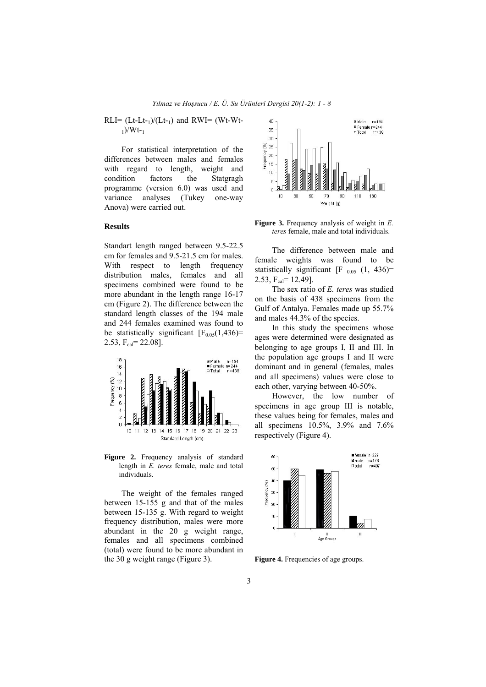$RLI = (Lt-Lt-1)/(Lt-1)$  and  $RWI = (Wt-Wt-1)$  $_1)$ /Wt- $_1$ 

For statistical interpretation of the differences between males and females with regard to length, weight and condition factors the Statgragh programme (version 6.0) was used and variance analyses (Tukey one-way Anova) were carried out.

## **Results**

Standart length ranged between 9.5-22.5 cm for females and 9.5-21.5 cm for males. With respect to length frequency distribution males, females and all specimens combined were found to be more abundant in the length range 16-17 cm (Figure 2). The difference between the standard length classes of the 194 male and 244 females examined was found to be statistically significant  $[F<sub>0.05</sub>(1,436)$ = 2.53,  $F_{cal} = 22.08$ ].



Figure 2. Frequency analysis of standard length in *E. teres* female, male and total individuals.

The weight of the females ranged between 15-155 g and that of the males between 15-135 g. With regard to weight frequency distribution, males were more abundant in the 20 g weight range, females and all specimens combined (total) were found to be more abundant in the 30 g weight range (Figure 3).



**Figure 3.** Frequency analysis of weight in *E. teres* female, male and total individuals.

The difference between male and female weights was found to be statistically significant [F  $_{0.05}$  (1, 436)= 2.53,  $F_{cal} = 12.49$ ].

The sex ratio of *E. teres* was studied on the basis of 438 specimens from the Gulf of Antalya. Females made up 55.7% and males 44.3% of the species.

In this study the specimens whose ages were determined were designated as belonging to age groups I, II and III. In the population age groups I and II were dominant and in general (females, males and all specimens) values were close to each other, varying between 40-50%.

However, the low number of specimens in age group III is notable, these values being for females, males and all specimens 10.5%, 3.9% and 7.6% respectively (Figure 4).



**Figure 4.** Frequencies of age groups.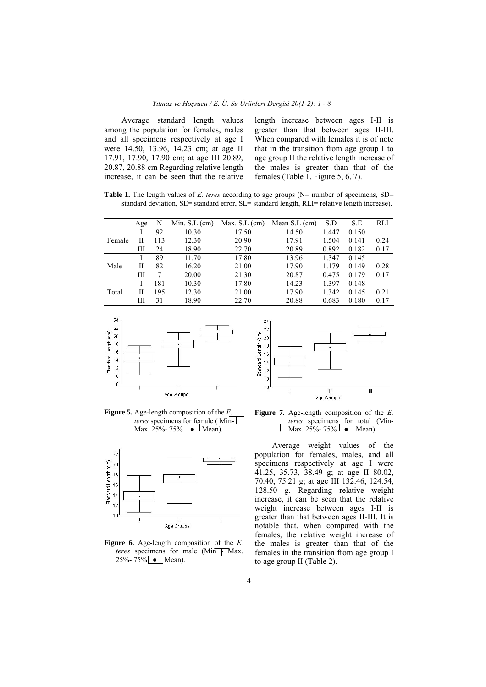Average standard length values among the population for females, males and all specimens respectively at age I were 14.50, 13.96, 14.23 cm; at age II 17.91, 17.90, 17.90 cm; at age III 20.89, 20.87, 20.88 cm Regarding relative length increase, it can be seen that the relative length increase between ages I-II is greater than that between ages II-III. When compared with females it is of note that in the transition from age group I to age group II the relative length increase of the males is greater than that of the females (Table 1, Figure 5, 6, 7).

**Table 1.** The length values of *E. teres* according to age groups (N= number of specimens, SD= standard deviation, SE= standard error, SL= standard length, RLI= relative length increase).

|        | Age | N   | Min. $S.L$ (cm) | Max. $S.L$ (cm) | Mean $S.L$ (cm) | S.D   | S.E   | RLI  |
|--------|-----|-----|-----------------|-----------------|-----------------|-------|-------|------|
| Female |     | 92  | 10.30           | 17.50           | 14.50           | 1.447 | 0.150 |      |
|        | Н   | 113 | 12.30           | 20.90           | 17.91           | 1.504 | 0.141 | 0.24 |
|        | Ш   | 24  | 18.90           | 22.70           | 20.89           | 0.892 | 0.182 | 0.17 |
| Male   |     | 89  | 11.70           | 17.80           | 13.96           | 1.347 | 0.145 |      |
|        | Н   | 82  | 16.20           | 21.00           | 17.90           | 1.179 | 0.149 | 0.28 |
|        | Ш   |     | 20.00           | 21.30           | 20.87           | 0.475 | 0.179 | 0.17 |
| Total  |     | 181 | 10.30           | 17.80           | 14.23           | 1.397 | 0.148 |      |
|        | Н   | 195 | 12.30           | 21.00           | 17.90           | 1.342 | 0.145 | 0.21 |
|        | Ш   | 31  | 18.90           | 22.70           | 20.88           | 0.683 | 0.180 | 0.17 |



**Figure 5.** Age-length composition of the *E. teres* specimens for female (Min-Max.  $25% - 75%$   $\bullet$  Mean).



**Figure 6.** Age-length composition of the *E. teres* specimens for male (Min + Max.  $25% - 75%$  • Mean).



**Figure 7.** Age-length composition of the *E. teres* specimens for total (Min-Max. 25%- 75%  $\blacksquare$ Mean).

Average weight values of the population for females, males, and all specimens respectively at age I were 41.25, 35.73, 38.49 g; at age II 80.02, 70.40, 75.21 g; at age III 132.46, 124.54, 128.50 g. Regarding relative weight increase, it can be seen that the relative weight increase between ages I-II is greater than that between ages II-III. It is notable that, when compared with the females, the relative weight increase of the males is greater than that of the females in the transition from age group I to age group II (Table 2).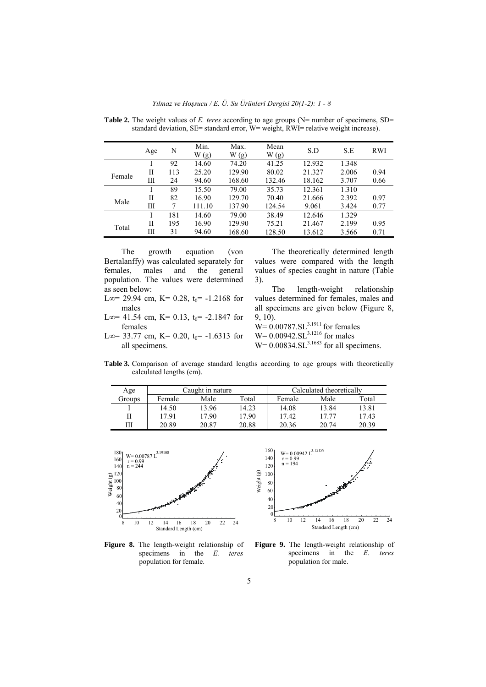*Yılmaz ve Hoşsucu / E. Ü. Su Ürünleri Dergisi 20(1-2): 1 - 8* 

|        | Age | N   | Min.<br>W(g) | Max.<br>W(g) | Mean<br>W(g) | S.D    | S.E   | <b>RWI</b> |
|--------|-----|-----|--------------|--------------|--------------|--------|-------|------------|
|        |     | 92  | 14.60        | 74.20        | 41.25        | 12.932 | 1.348 |            |
| Female | П   | 113 | 25.20        | 129.90       | 80.02        | 21.327 | 2.006 | 0.94       |
|        | Ш   | 24  | 94.60        | 168.60       | 132.46       | 18.162 | 3.707 | 0.66       |
|        |     | 89  | 15.50        | 79.00        | 35.73        | 12.361 | 1.310 |            |
| Male   | П   | 82  | 16.90        | 129.70       | 70.40        | 21.666 | 2.392 | 0.97       |
|        | Ш   | 7   | 111.10       | 137.90       | 124.54       | 9.061  | 3.424 | 0.77       |
|        |     | 181 | 14.60        | 79.00        | 38.49        | 12.646 | 1.329 |            |
| Total  | П   | 195 | 16.90        | 129.90       | 75.21        | 21.467 | 2.199 | 0.95       |
|        | Ш   | 31  | 94.60        | 168.60       | 128.50       | 13.612 | 3.566 | 0.71       |

Table 2. The weight values of *E. teres* according to age groups (N= number of specimens, SD= standard deviation, SE= standard error, W= weight, RWI= relative weight increase).

The growth equation (von Bertalanffy) was calculated separately for females, males and the general population. The values were determined as seen below:

L∞= 29.94 cm, K= 0.28, t<sub>0</sub>= -1.2168 for males

L∞= 41.54 cm, K= 0.13, t<sub>0</sub>= -2.1847 for females

L∞= 33.77 cm, K= 0.20, t<sub>0</sub>= -1.6313 for all specimens.

The theoretically determined length values were compared with the length values of species caught in nature (Table 3).

The length-weight relationship values determined for females, males and all specimens are given below (Figure 8, 9, 10).

 $W = 0.00787.SL<sup>3.1911</sup>$  for females  $W= 0.00942.SL^{3.1216}$  for males  $W= 0.00834.S<sup>3.1683</sup>$  for all specimens.

**Table 3.** Comparison of average standard lengths according to age groups with theoretically calculated lengths (cm).

| Age    |        | Caught in nature |       | Calculated theoretically |       |       |
|--------|--------|------------------|-------|--------------------------|-------|-------|
| Groups | Female | Male             | Total | Female                   | Male  | Total |
|        | 14.50  | 13.96            | 14.23 | 14.08                    | 13.84 | 13.81 |
| П      | 17.91  | 17.90            | 17.90 | 17.42                    | 17 77 | 17.43 |
| Ш      | 20.89  | 20.87            | 20.88 | 20.36                    | 20.74 | 20.39 |



**Figure 8.** The length-weight relationship of specimens in the *E. teres* population for female.



**Figure 9.** The length-weight relationship of specimens in the *E. teres* population for male.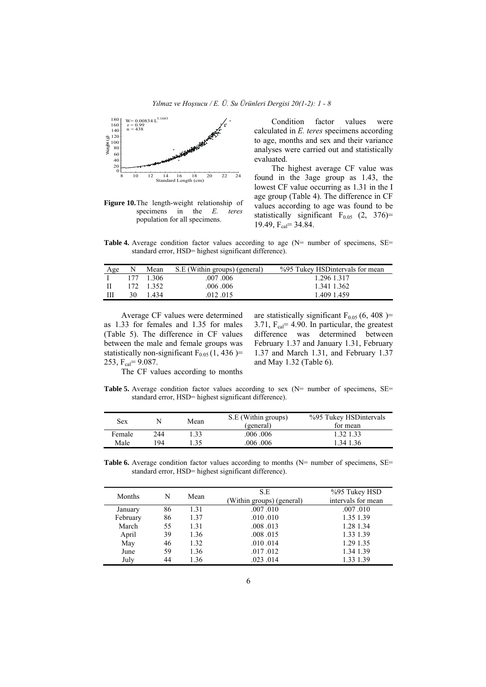*Yılmaz ve Hoşsucu / E. Ü. Su Ürünleri Dergisi 20(1-2): 1 - 8* 



**Figure 10.**The length-weight relationship of specimens in the *E. teres* population for all specimens.

Condition factor values were calculated in *E. teres* specimens according to age, months and sex and their variance analyses were carried out and statistically evaluated.

The highest average CF value was found in the 3age group as 1.43, the lowest CF value occurring as 1.31 in the I age group (Table 4). The difference in CF values according to age was found to be statistically significant  $F_{0.05}$  (2, 376)= 19.49,  $F_{cal} = 34.84$ .

**Table 4.** Average condition factor values according to age (N= number of specimens, SE= standard error, HSD= highest significant difference).

| Age |    | Mean      | S.E (Within groups) (general) | %95 Tukey HSD intervals for mean |
|-----|----|-----------|-------------------------------|----------------------------------|
|     |    | 177 1306  | $.007$ $.006$                 | 1.296 1.317                      |
| H   |    | 172 1.352 | .006 .006                     | 1.341 1.362                      |
| Ш   | 30 | 1434      | .012.015                      | 1.409 1.459                      |

Average CF values were determined as 1.33 for females and 1.35 for males (Table 5). The difference in CF values between the male and female groups was statistically non-significant  $F_{0.05}$  (1, 436 )= 253,  $F_{cal} = 9.087$ .

are statistically significant  $F<sub>0.05</sub>$  (6, 408 )= 3.71,  $F_{cal} = 4.90$ . In particular, the greatest difference was determined between February 1.37 and January 1.31, February 1.37 and March 1.31, and February 1.37 and May 1.32 (Table 6).

The CF values according to months

**Table 5.** Average condition factor values according to sex (N= number of specimens, SE= standard error, HSD= highest significant difference).

| <b>Sex</b> |     | Mean | S.E (Within groups)<br>(general) | %95 Tukey HSD intervals<br>for mean |
|------------|-----|------|----------------------------------|-------------------------------------|
| Female     | 244 | .33  | $.006 \cdot .006$                | 32 1.33                             |
| Male       | 94  | -35  | $.006 \cdot .006$                | 34 1 36                             |

**Table 6.** Average condition factor values according to months (N= number of specimens, SE= standard error, HSD= highest significant difference).

| Months   | N  | Mean | S.E                       | %95 Tukey HSD      |
|----------|----|------|---------------------------|--------------------|
|          |    |      | (Within groups) (general) | intervals for mean |
| January  | 86 | 1.31 | .007.010                  | .007.010           |
| February | 86 | 1.37 | .010.010                  | 1.35 1.39          |
| March    | 55 | 1.31 | .008.013                  | 1.28 1.34          |
| April    | 39 | 1.36 | .008.015                  | 1.33 1.39          |
| May      | 46 | 1.32 | .010.014                  | 1.29 1.35          |
| June     | 59 | 1.36 | .017.012                  | 1.34 1.39          |
| July     | 44 | 1.36 | .023.014                  | 1.33 1.39          |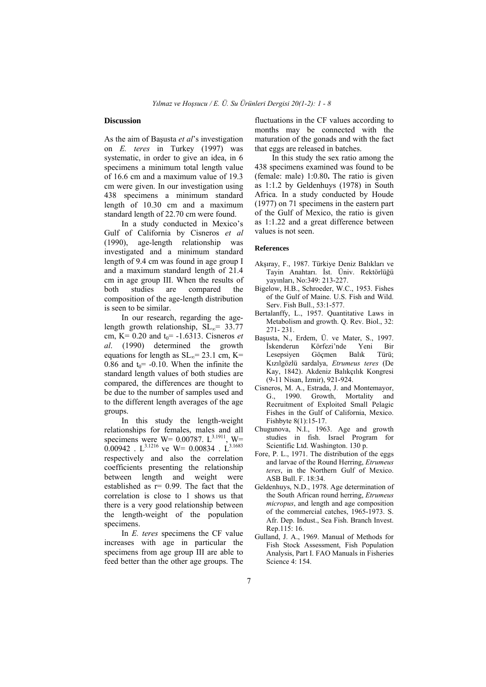#### **Discussion**

As the aim of Başusta *et al*'s investigation on *E. teres* in Turkey (1997) was systematic, in order to give an idea, in 6 specimens a minimum total length value of 16.6 cm and a maximum value of 19.3 cm were given. In our investigation using 438 specimens a minimum standard length of 10.30 cm and a maximum standard length of 22.70 cm were found.

In a study conducted in Mexico's Gulf of California by Cisneros *et al* (1990), age-length relationship was investigated and a minimum standard length of 9.4 cm was found in age group I and a maximum standard length of 21.4 cm in age group III. When the results of both studies are compared the composition of the age-length distribution is seen to be similar.

In our research, regarding the agelength growth relationship,  $SL_{\infty}$ = 33.77 cm,  $K= 0.20$  and  $t_0 = -1.6313$ . Cisneros *et al*. (1990) determined the growth equations for length as  $SL_{\infty}$ = 23.1 cm, K= 0.86 and  $t_0$  = -0.10. When the infinite the standard length values of both studies are compared, the differences are thought to be due to the number of samples used and to the different length averages of the age groups.

In this study the length-weight relationships for females, males and all specimens were  $W = 0.00787$ .  $L^{3.1911}$ ,  $W =$ 0.00942 .  $L^{3.1216}$  ve W= 0.00834 .  $L^{3.1683}$ respectively and also the correlation coefficients presenting the relationship between length and weight were established as  $r= 0.99$ . The fact that the correlation is close to 1 shows us that there is a very good relationship between the length-weight of the population specimens.

In *E. teres* specimens the CF value increases with age in particular the specimens from age group III are able to feed better than the other age groups. The fluctuations in the CF values according to months may be connected with the maturation of the gonads and with the fact that eggs are released in batches.

In this study the sex ratio among the 438 specimens examined was found to be (female: male) 1:0.80**.** The ratio is given as 1:1.2 by Geldenhuys (1978) in South Africa. In a study conducted by Houde (1977) on 71 specimens in the eastern part of the Gulf of Mexico, the ratio is given as 1:1.22 and a great difference between values is not seen.

#### **References**

- Akşıray, F., 1987. Türkiye Deniz Balıkları ve Tayin Anahtarı. İst. Üniv. Rektörlüğü yayınları, No:349: 213-227.
- Bigelow, H.B., Schroeder, W.C., 1953. Fishes of the Gulf of Maine. U.S. Fish and Wild. Serv. Fish Bull., 53:1-577.
- Bertalanffy, L., 1957. Quantitative Laws in Metabolism and growth. Q. Rev. Biol., 32: 271- 231.
- Başusta, N., Erdem, Ü. ve Mater, S., 1997. Körfezi'nde Yeni Bir Lesepsiyen Göçmen Balık Türü; Kızılgözlü sardalya, *Etrumeus teres* (De Kay, 1842). Akdeniz Balıkçılık Kongresi (9-11 Nisan, İzmir), 921-924.
- Cisneros, M. A., Estrada, J. and Montemayor, G., 1990. Growth, Mortality and Recruitment of Exploited Small Pelagic Fishes in the Gulf of California, Mexico. Fishbyte 8(1):15-17.
- Chugunova, N.I., 1963. Age and growth studies in fish. Israel Program for Scientific Ltd. Washington. 130 p.
- Fore, P. L., 1971. The distribution of the eggs and larvae of the Round Herring, *Etrumeus teres*, in the Northern Gulf of Mexico. ASB Bull. F. 18:34.
- Geldenhuys, N.D., 1978. Age determination of the South African round herring, *Etrumeus micropus*, and length and age composition of the commercial catches, 1965-1973. S. Afr. Dep. Indust., Sea Fish. Branch Invest. Rep.115: 16.
- Gulland, J. A., 1969. Manual of Methods for Fish Stock Assessment, Fish Population Analysis, Part I. FAO Manuals in Fisheries Science 4: 154.